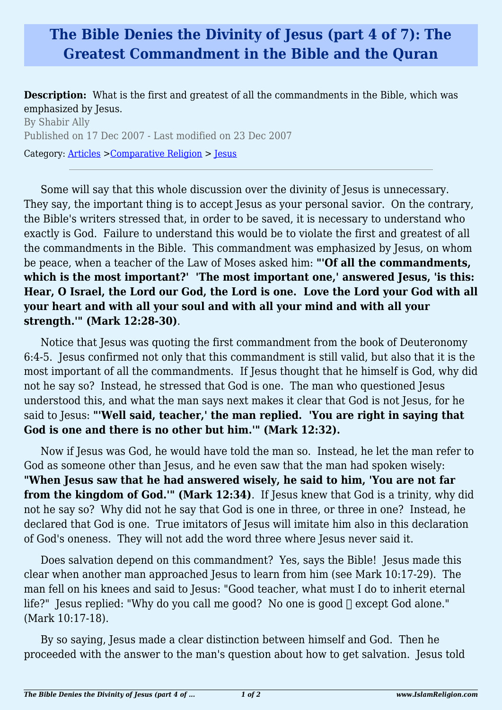## **The Bible Denies the Divinity of Jesus (part 4 of 7): The Greatest Commandment in the Bible and the Quran**

**Description:** What is the first and greatest of all the commandments in the Bible, which was emphasized by Jesus.

By Shabir Ally Published on 17 Dec 2007 - Last modified on 23 Dec 2007 Category: [Articles](http://www.islamreligion.com/articles/) >[Comparative Religion](http://www.islamreligion.com/category/68/) > [Jesus](http://www.islamreligion.com/category/69/)

Some will say that this whole discussion over the divinity of Jesus is unnecessary. They say, the important thing is to accept Jesus as your personal savior. On the contrary, the Bible's writers stressed that, in order to be saved, it is necessary to understand who exactly is God. Failure to understand this would be to violate the first and greatest of all the commandments in the Bible. This commandment was emphasized by Jesus, on whom be peace, when a teacher of the Law of Moses asked him: **"'Of all the commandments, which is the most important?' 'The most important one,' answered Jesus, 'is this: Hear, O Israel, the Lord our God, the Lord is one. Love the Lord your God with all your heart and with all your soul and with all your mind and with all your strength.'" (Mark 12:28-30)**.

Notice that Jesus was quoting the first commandment from the book of Deuteronomy 6:4-5. Jesus confirmed not only that this commandment is still valid, but also that it is the most important of all the commandments. If Jesus thought that he himself is God, why did not he say so? Instead, he stressed that God is one. The man who questioned Jesus understood this, and what the man says next makes it clear that God is not Jesus, for he said to Jesus: **"'Well said, teacher,' the man replied. 'You are right in saying that God is one and there is no other but him.'" (Mark 12:32).**

Now if Jesus was God, he would have told the man so. Instead, he let the man refer to God as someone other than Jesus, and he even saw that the man had spoken wisely: **"When Jesus saw that he had answered wisely, he said to him, 'You are not far from the kingdom of God.'" (Mark 12:34)**. If Jesus knew that God is a trinity, why did not he say so? Why did not he say that God is one in three, or three in one? Instead, he declared that God is one. True imitators of Jesus will imitate him also in this declaration of God's oneness. They will not add the word three where Jesus never said it.

Does salvation depend on this commandment? Yes, says the Bible! Jesus made this clear when another man approached Jesus to learn from him (see Mark 10:17-29). The man fell on his knees and said to Jesus: "Good teacher, what must I do to inherit eternal life?" Jesus replied: "Why do you call me good? No one is good  $\Box$  except God alone." (Mark 10:17-18).

By so saying, Jesus made a clear distinction between himself and God. Then he proceeded with the answer to the man's question about how to get salvation. Jesus told